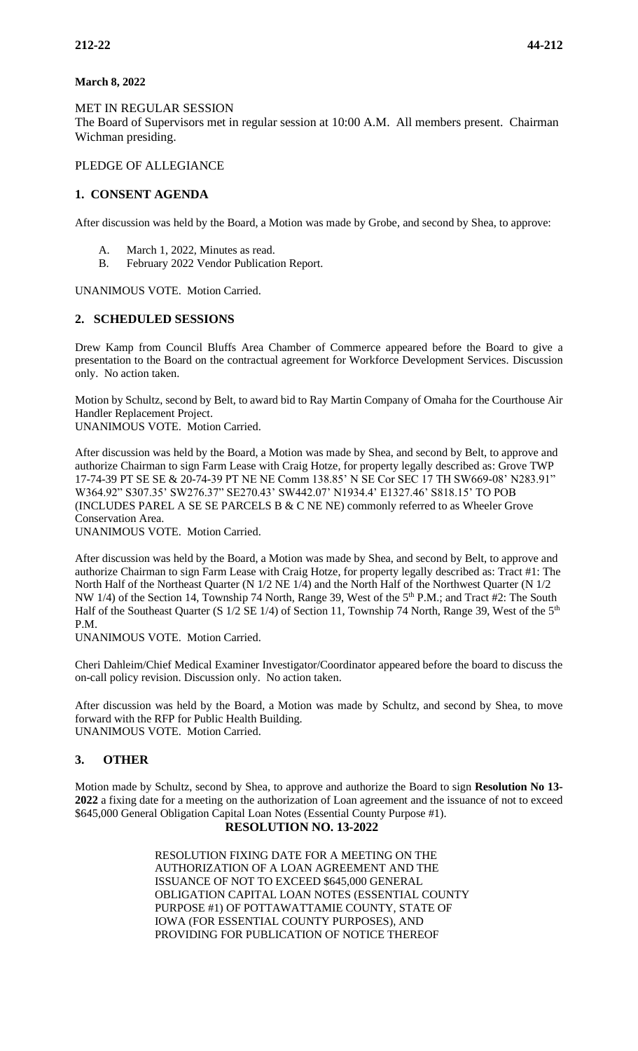## **March 8, 2022**

MET IN REGULAR SESSION

The Board of Supervisors met in regular session at 10:00 A.M. All members present. Chairman Wichman presiding.

PLEDGE OF ALLEGIANCE

## **1. CONSENT AGENDA**

After discussion was held by the Board, a Motion was made by Grobe, and second by Shea, to approve:

- A. March 1, 2022, Minutes as read.
- B. February 2022 Vendor Publication Report.

UNANIMOUS VOTE. Motion Carried.

## **2. SCHEDULED SESSIONS**

Drew Kamp from Council Bluffs Area Chamber of Commerce appeared before the Board to give a presentation to the Board on the contractual agreement for Workforce Development Services. Discussion only. No action taken.

Motion by Schultz, second by Belt, to award bid to Ray Martin Company of Omaha for the Courthouse Air Handler Replacement Project.

UNANIMOUS VOTE. Motion Carried.

After discussion was held by the Board, a Motion was made by Shea, and second by Belt, to approve and authorize Chairman to sign Farm Lease with Craig Hotze, for property legally described as: Grove TWP 17-74-39 PT SE SE & 20-74-39 PT NE NE Comm 138.85' N SE Cor SEC 17 TH SW669-08' N283.91" W364.92" S307.35' SW276.37" SE270.43' SW442.07' N1934.4' E1327.46' S818.15' TO POB (INCLUDES PAREL A SE SE PARCELS B & C NE NE) commonly referred to as Wheeler Grove Conservation Area.

UNANIMOUS VOTE. Motion Carried.

After discussion was held by the Board, a Motion was made by Shea, and second by Belt, to approve and authorize Chairman to sign Farm Lease with Craig Hotze, for property legally described as: Tract #1: The North Half of the Northeast Quarter (N 1/2 NE 1/4) and the North Half of the Northwest Quarter (N 1/2 NW 1/4) of the Section 14, Township 74 North, Range 39, West of the 5<sup>th</sup> P.M.; and Tract #2: The South Half of the Southeast Quarter (S  $1/2$  SE  $1/4$ ) of Section 11, Township 74 North, Range 39, West of the 5<sup>th</sup> P.M.

UNANIMOUS VOTE. Motion Carried.

Cheri Dahleim/Chief Medical Examiner Investigator/Coordinator appeared before the board to discuss the on-call policy revision. Discussion only. No action taken.

After discussion was held by the Board, a Motion was made by Schultz, and second by Shea, to move forward with the RFP for Public Health Building. UNANIMOUS VOTE. Motion Carried.

## **3. OTHER**

Motion made by Schultz, second by Shea, to approve and authorize the Board to sign **Resolution No 13- 2022** a fixing date for a meeting on the authorization of Loan agreement and the issuance of not to exceed \$645,000 General Obligation Capital Loan Notes (Essential County Purpose #1).

## **RESOLUTION NO. 13-2022**

RESOLUTION FIXING DATE FOR A MEETING ON THE AUTHORIZATION OF A LOAN AGREEMENT AND THE ISSUANCE OF NOT TO EXCEED \$645,000 GENERAL OBLIGATION CAPITAL LOAN NOTES (ESSENTIAL COUNTY PURPOSE #1) OF POTTAWATTAMIE COUNTY, STATE OF IOWA (FOR ESSENTIAL COUNTY PURPOSES), AND PROVIDING FOR PUBLICATION OF NOTICE THEREOF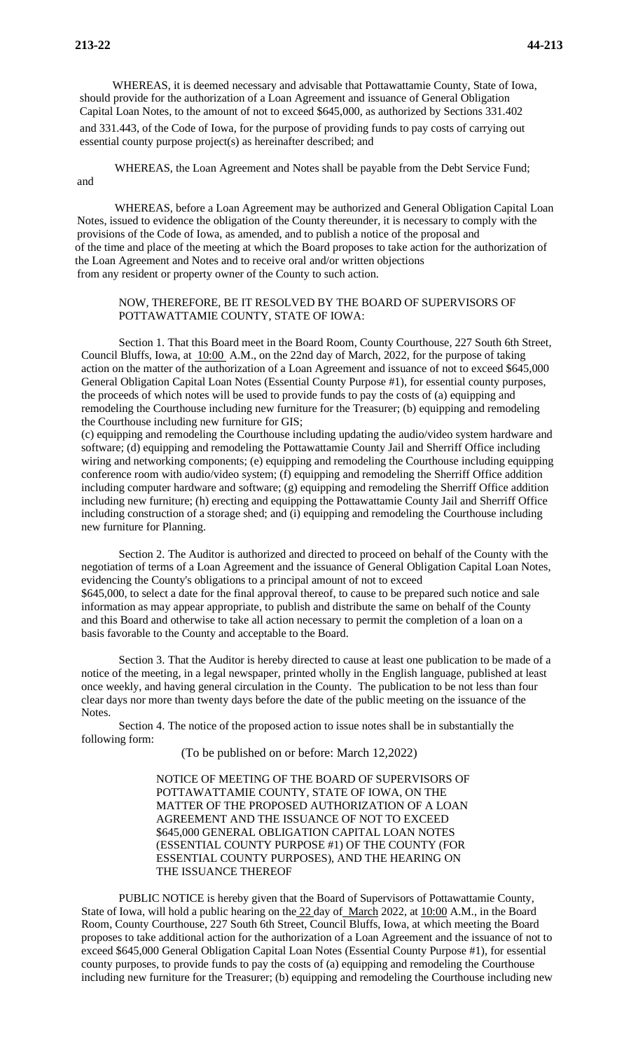WHEREAS, it is deemed necessary and advisable that Pottawattamie County, State of Iowa, should provide for the authorization of a Loan Agreement and issuance of General Obligation Capital Loan Notes, to the amount of not to exceed \$645,000, as authorized by Sections 331.402 and 331.443, of the Code of Iowa, for the purpose of providing funds to pay costs of carrying out essential county purpose project(s) as hereinafter described; and

WHEREAS, the Loan Agreement and Notes shall be payable from the Debt Service Fund;

and

WHEREAS, before a Loan Agreement may be authorized and General Obligation Capital Loan Notes, issued to evidence the obligation of the County thereunder, it is necessary to comply with the provisions of the Code of Iowa, as amended, and to publish a notice of the proposal and of the time and place of the meeting at which the Board proposes to take action for the authorization of the Loan Agreement and Notes and to receive oral and/or written objections from any resident or property owner of the County to such action.

## NOW, THEREFORE, BE IT RESOLVED BY THE BOARD OF SUPERVISORS OF POTTAWATTAMIE COUNTY, STATE OF IOWA:

Section 1. That this Board meet in the Board Room, County Courthouse, 227 South 6th Street, Council Bluffs, Iowa, at  $10:00$  A.M., on the 22nd day of March, 2022, for the purpose of taking action on the matter of the authorization of a Loan Agreement and issuance of not to exceed \$645,000 General Obligation Capital Loan Notes (Essential County Purpose #1), for essential county purposes, the proceeds of which notes will be used to provide funds to pay the costs of (a) equipping and remodeling the Courthouse including new furniture for the Treasurer; (b) equipping and remodeling the Courthouse including new furniture for GIS;

(c) equipping and remodeling the Courthouse including updating the audio/video system hardware and software; (d) equipping and remodeling the Pottawattamie County Jail and Sherriff Office including wiring and networking components; (e) equipping and remodeling the Courthouse including equipping conference room with audio/video system; (f) equipping and remodeling the Sherriff Office addition including computer hardware and software; (g) equipping and remodeling the Sherriff Office addition including new furniture; (h) erecting and equipping the Pottawattamie County Jail and Sherriff Office including construction of a storage shed; and (i) equipping and remodeling the Courthouse including new furniture for Planning.

Section 2. The Auditor is authorized and directed to proceed on behalf of the County with the negotiation of terms of a Loan Agreement and the issuance of General Obligation Capital Loan Notes, evidencing the County's obligations to a principal amount of not to exceed \$645,000, to select a date for the final approval thereof, to cause to be prepared such notice and sale information as may appear appropriate, to publish and distribute the same on behalf of the County and this Board and otherwise to take all action necessary to permit the completion of a loan on a basis favorable to the County and acceptable to the Board.

Section 3. That the Auditor is hereby directed to cause at least one publication to be made of a notice of the meeting, in a legal newspaper, printed wholly in the English language, published at least once weekly, and having general circulation in the County. The publication to be not less than four clear days nor more than twenty days before the date of the public meeting on the issuance of the Notes.

Section 4. The notice of the proposed action to issue notes shall be in substantially the following form:

## (To be published on or before: March 12,2022)

NOTICE OF MEETING OF THE BOARD OF SUPERVISORS OF POTTAWATTAMIE COUNTY, STATE OF IOWA, ON THE MATTER OF THE PROPOSED AUTHORIZATION OF A LOAN AGREEMENT AND THE ISSUANCE OF NOT TO EXCEED \$645,000 GENERAL OBLIGATION CAPITAL LOAN NOTES (ESSENTIAL COUNTY PURPOSE #1) OF THE COUNTY (FOR ESSENTIAL COUNTY PURPOSES), AND THE HEARING ON THE ISSUANCE THEREOF

PUBLIC NOTICE is hereby given that the Board of Supervisors of Pottawattamie County, State of Iowa, will hold a public hearing on the 22 day of March 2022, at 10:00 A.M., in the Board Room, County Courthouse, 227 South 6th Street, Council Bluffs, Iowa, at which meeting the Board proposes to take additional action for the authorization of a Loan Agreement and the issuance of not to exceed \$645,000 General Obligation Capital Loan Notes (Essential County Purpose #1), for essential county purposes, to provide funds to pay the costs of (a) equipping and remodeling the Courthouse including new furniture for the Treasurer; (b) equipping and remodeling the Courthouse including new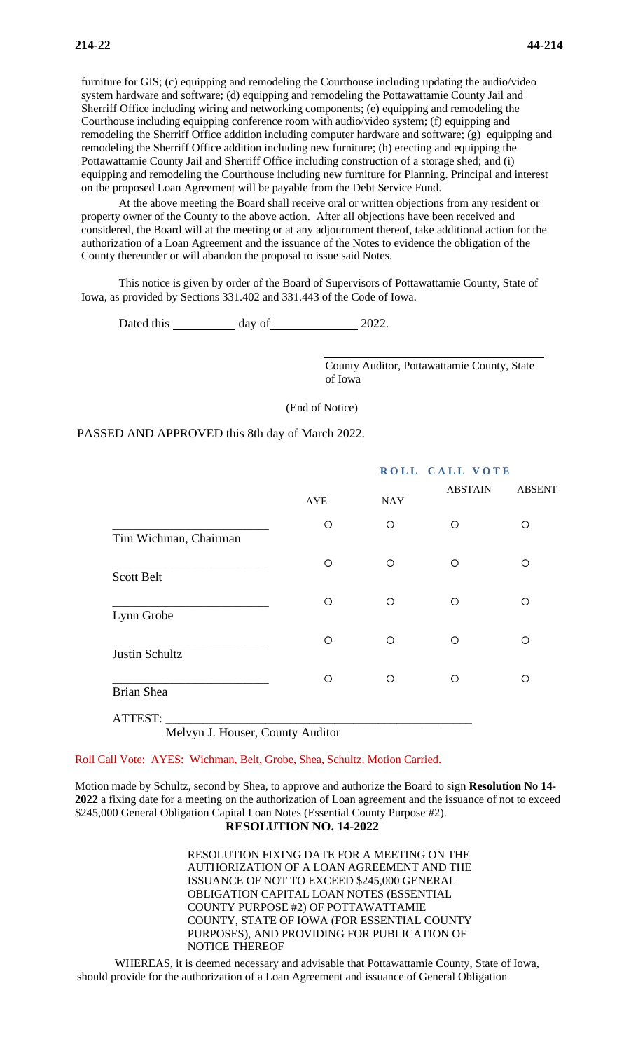furniture for GIS; (c) equipping and remodeling the Courthouse including updating the audio/video system hardware and software; (d) equipping and remodeling the Pottawattamie County Jail and Sherriff Office including wiring and networking components; (e) equipping and remodeling the Courthouse including equipping conference room with audio/video system; (f) equipping and remodeling the Sherriff Office addition including computer hardware and software; (g) equipping and remodeling the Sherriff Office addition including new furniture; (h) erecting and equipping the Pottawattamie County Jail and Sherriff Office including construction of a storage shed; and (i) equipping and remodeling the Courthouse including new furniture for Planning. Principal and interest on the proposed Loan Agreement will be payable from the Debt Service Fund.

At the above meeting the Board shall receive oral or written objections from any resident or property owner of the County to the above action. After all objections have been received and considered, the Board will at the meeting or at any adjournment thereof, take additional action for the authorization of a Loan Agreement and the issuance of the Notes to evidence the obligation of the County thereunder or will abandon the proposal to issue said Notes.

This notice is given by order of the Board of Supervisors of Pottawattamie County, State of Iowa, as provided by Sections 331.402 and 331.443 of the Code of Iowa.

Dated this day of 2022.

County Auditor, Pottawattamie County, State of Iowa

(End of Notice)

PASSED AND APPROVED this 8th day of March 2022.

|                       | ROLL CALL VOTE |            |                |               |
|-----------------------|----------------|------------|----------------|---------------|
|                       | <b>AYE</b>     | <b>NAY</b> | <b>ABSTAIN</b> | <b>ABSENT</b> |
| Tim Wichman, Chairman | $\circ$        | O          | Ω              | $\circ$       |
| <b>Scott Belt</b>     | $\circ$        | O          | O              | O             |
| Lynn Grobe            | $\circ$        | $\circ$    | O              | $\circ$       |
| Justin Schultz        | O              | O          | O              | O             |
| <b>Brian Shea</b>     | $\circ$        | O          | ∩              | O             |
| ATTEST:               |                |            |                |               |

Melvyn J. Houser, County Auditor

Roll Call Vote: AYES: Wichman, Belt, Grobe, Shea, Schultz. Motion Carried.

Motion made by Schultz, second by Shea, to approve and authorize the Board to sign **Resolution No 14- 2022** a fixing date for a meeting on the authorization of Loan agreement and the issuance of not to exceed \$245,000 General Obligation Capital Loan Notes (Essential County Purpose #2).

## **RESOLUTION NO. 14-2022**

RESOLUTION FIXING DATE FOR A MEETING ON THE AUTHORIZATION OF A LOAN AGREEMENT AND THE ISSUANCE OF NOT TO EXCEED \$245,000 GENERAL OBLIGATION CAPITAL LOAN NOTES (ESSENTIAL COUNTY PURPOSE #2) OF POTTAWATTAMIE COUNTY, STATE OF IOWA (FOR ESSENTIAL COUNTY PURPOSES), AND PROVIDING FOR PUBLICATION OF NOTICE THEREOF

WHEREAS, it is deemed necessary and advisable that Pottawattamie County, State of Iowa, should provide for the authorization of a Loan Agreement and issuance of General Obligation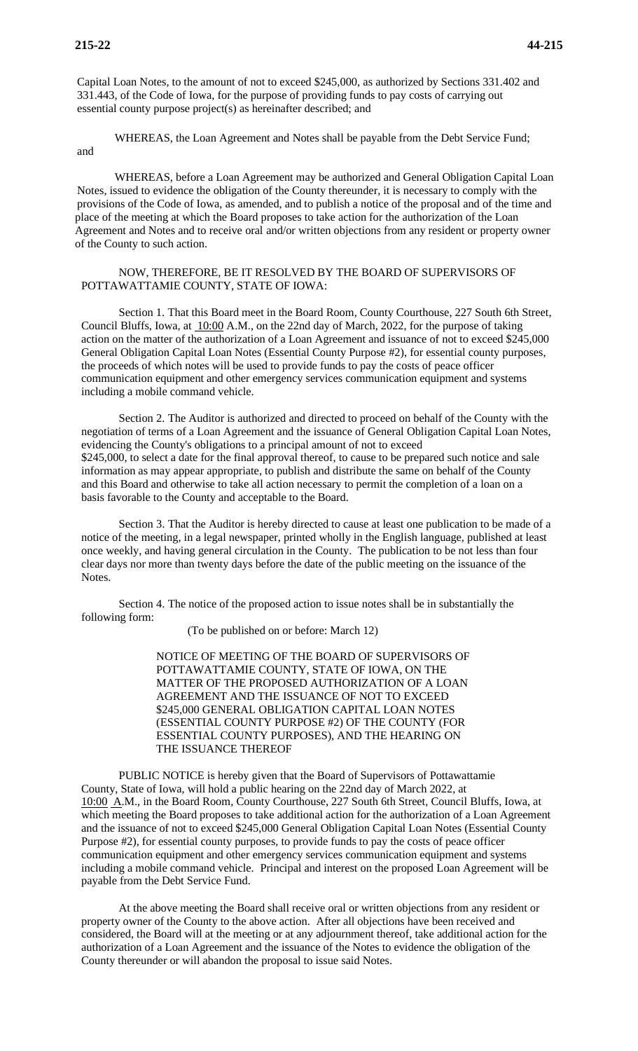Capital Loan Notes, to the amount of not to exceed \$245,000, as authorized by Sections 331.402 and 331.443, of the Code of Iowa, for the purpose of providing funds to pay costs of carrying out essential county purpose project(s) as hereinafter described; and

WHEREAS, the Loan Agreement and Notes shall be payable from the Debt Service Fund;

and

WHEREAS, before a Loan Agreement may be authorized and General Obligation Capital Loan Notes, issued to evidence the obligation of the County thereunder, it is necessary to comply with the provisions of the Code of Iowa, as amended, and to publish a notice of the proposal and of the time and place of the meeting at which the Board proposes to take action for the authorization of the Loan Agreement and Notes and to receive oral and/or written objections from any resident or property owner of the County to such action.

## NOW, THEREFORE, BE IT RESOLVED BY THE BOARD OF SUPERVISORS OF POTTAWATTAMIE COUNTY, STATE OF IOWA:

Section 1. That this Board meet in the Board Room, County Courthouse, 227 South 6th Street, Council Bluffs, Iowa, at 10:00 A.M., on the 22nd day of March, 2022, for the purpose of taking action on the matter of the authorization of a Loan Agreement and issuance of not to exceed \$245,000 General Obligation Capital Loan Notes (Essential County Purpose #2), for essential county purposes, the proceeds of which notes will be used to provide funds to pay the costs of peace officer communication equipment and other emergency services communication equipment and systems including a mobile command vehicle.

Section 2. The Auditor is authorized and directed to proceed on behalf of the County with the negotiation of terms of a Loan Agreement and the issuance of General Obligation Capital Loan Notes, evidencing the County's obligations to a principal amount of not to exceed \$245,000, to select a date for the final approval thereof, to cause to be prepared such notice and sale information as may appear appropriate, to publish and distribute the same on behalf of the County and this Board and otherwise to take all action necessary to permit the completion of a loan on a basis favorable to the County and acceptable to the Board.

Section 3. That the Auditor is hereby directed to cause at least one publication to be made of a notice of the meeting, in a legal newspaper, printed wholly in the English language, published at least once weekly, and having general circulation in the County. The publication to be not less than four clear days nor more than twenty days before the date of the public meeting on the issuance of the Notes.

Section 4. The notice of the proposed action to issue notes shall be in substantially the following form:

(To be published on or before: March 12)

NOTICE OF MEETING OF THE BOARD OF SUPERVISORS OF POTTAWATTAMIE COUNTY, STATE OF IOWA, ON THE MATTER OF THE PROPOSED AUTHORIZATION OF A LOAN AGREEMENT AND THE ISSUANCE OF NOT TO EXCEED \$245,000 GENERAL OBLIGATION CAPITAL LOAN NOTES (ESSENTIAL COUNTY PURPOSE #2) OF THE COUNTY (FOR ESSENTIAL COUNTY PURPOSES), AND THE HEARING ON THE ISSUANCE THEREOF

PUBLIC NOTICE is hereby given that the Board of Supervisors of Pottawattamie County, State of Iowa, will hold a public hearing on the 22nd day of March 2022, at 10:00 A.M., in the Board Room, County Courthouse, 227 South 6th Street, Council Bluffs, Iowa, at which meeting the Board proposes to take additional action for the authorization of a Loan Agreement and the issuance of not to exceed \$245,000 General Obligation Capital Loan Notes (Essential County Purpose #2), for essential county purposes, to provide funds to pay the costs of peace officer communication equipment and other emergency services communication equipment and systems including a mobile command vehicle. Principal and interest on the proposed Loan Agreement will be payable from the Debt Service Fund.

At the above meeting the Board shall receive oral or written objections from any resident or property owner of the County to the above action. After all objections have been received and considered, the Board will at the meeting or at any adjournment thereof, take additional action for the authorization of a Loan Agreement and the issuance of the Notes to evidence the obligation of the County thereunder or will abandon the proposal to issue said Notes.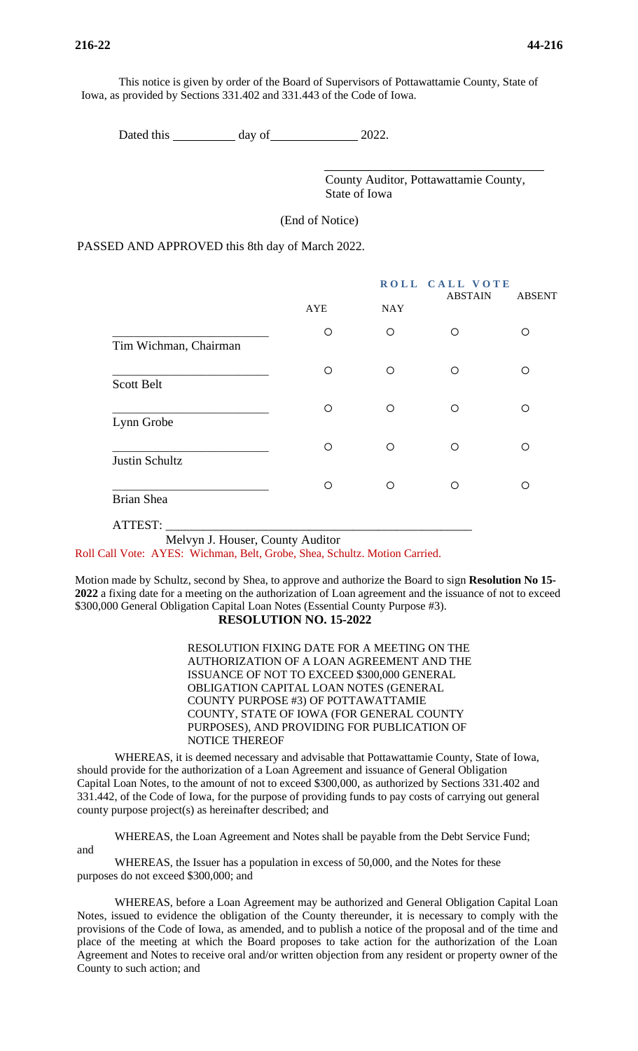and

This notice is given by order of the Board of Supervisors of Pottawattamie County, State of Iowa, as provided by Sections 331.402 and 331.443 of the Code of Iowa.

Dated this day of 2022.

County Auditor, Pottawattamie County, State of Iowa

(End of Notice)

PASSED AND APPROVED this 8th day of March 2022.

|                       |            |            | ROLL CALL VOTE<br><b>ABSTAIN</b> |               |
|-----------------------|------------|------------|----------------------------------|---------------|
|                       | <b>AYE</b> | <b>NAY</b> |                                  | <b>ABSENT</b> |
| Tim Wichman, Chairman | O          | $\circ$    | $\circ$                          | O             |
| <b>Scott Belt</b>     | O          | $\circ$    | ◯                                | ∩             |
| Lynn Grobe            | O          | $\circ$    | O                                | ∩             |
| Justin Schultz        | O          | $\circ$    | O                                | ∩             |
| Brian Shea            | O          | $\bigcirc$ | $\bigcirc$                       | ∩             |
| ATTEST:               |            |            |                                  |               |

Melvyn J. Houser, County Auditor

Roll Call Vote: AYES: Wichman, Belt, Grobe, Shea, Schultz. Motion Carried.

Motion made by Schultz, second by Shea, to approve and authorize the Board to sign **Resolution No 15- 2022** a fixing date for a meeting on the authorization of Loan agreement and the issuance of not to exceed \$300,000 General Obligation Capital Loan Notes (Essential County Purpose #3). **RESOLUTION NO. 15-2022**

> RESOLUTION FIXING DATE FOR A MEETING ON THE AUTHORIZATION OF A LOAN AGREEMENT AND THE ISSUANCE OF NOT TO EXCEED \$300,000 GENERAL OBLIGATION CAPITAL LOAN NOTES (GENERAL COUNTY PURPOSE #3) OF POTTAWATTAMIE COUNTY, STATE OF IOWA (FOR GENERAL COUNTY PURPOSES), AND PROVIDING FOR PUBLICATION OF NOTICE THEREOF

WHEREAS, it is deemed necessary and advisable that Pottawattamie County, State of Iowa, should provide for the authorization of a Loan Agreement and issuance of General Obligation Capital Loan Notes, to the amount of not to exceed \$300,000, as authorized by Sections 331.402 and 331.442, of the Code of Iowa, for the purpose of providing funds to pay costs of carrying out general county purpose project(s) as hereinafter described; and

WHEREAS, the Loan Agreement and Notes shall be payable from the Debt Service Fund;

WHEREAS, the Issuer has a population in excess of 50,000, and the Notes for these purposes do not exceed \$300,000; and

WHEREAS, before a Loan Agreement may be authorized and General Obligation Capital Loan Notes, issued to evidence the obligation of the County thereunder, it is necessary to comply with the provisions of the Code of Iowa, as amended, and to publish a notice of the proposal and of the time and place of the meeting at which the Board proposes to take action for the authorization of the Loan Agreement and Notes to receive oral and/or written objection from any resident or property owner of the County to such action; and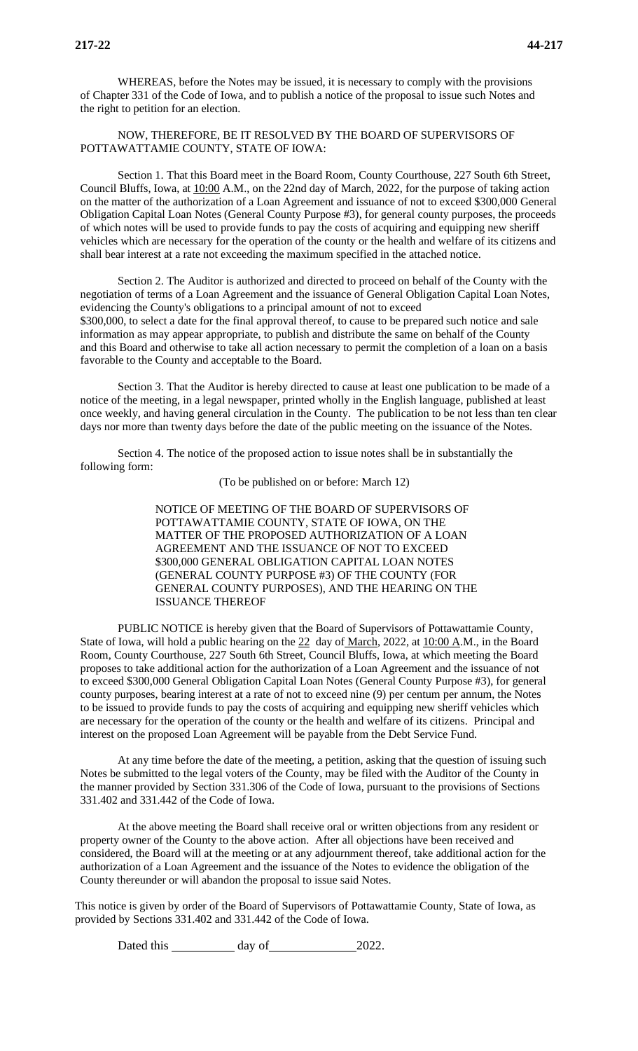WHEREAS, before the Notes may be issued, it is necessary to comply with the provisions of Chapter 331 of the Code of Iowa, and to publish a notice of the proposal to issue such Notes and the right to petition for an election.

NOW, THEREFORE, BE IT RESOLVED BY THE BOARD OF SUPERVISORS OF POTTAWATTAMIE COUNTY, STATE OF IOWA:

Section 1. That this Board meet in the Board Room, County Courthouse, 227 South 6th Street, Council Bluffs, Iowa, at 10:00 A.M., on the 22nd day of March, 2022, for the purpose of taking action on the matter of the authorization of a Loan Agreement and issuance of not to exceed \$300,000 General Obligation Capital Loan Notes (General County Purpose #3), for general county purposes, the proceeds of which notes will be used to provide funds to pay the costs of acquiring and equipping new sheriff vehicles which are necessary for the operation of the county or the health and welfare of its citizens and shall bear interest at a rate not exceeding the maximum specified in the attached notice.

Section 2. The Auditor is authorized and directed to proceed on behalf of the County with the negotiation of terms of a Loan Agreement and the issuance of General Obligation Capital Loan Notes, evidencing the County's obligations to a principal amount of not to exceed \$300,000, to select a date for the final approval thereof, to cause to be prepared such notice and sale information as may appear appropriate, to publish and distribute the same on behalf of the County and this Board and otherwise to take all action necessary to permit the completion of a loan on a basis favorable to the County and acceptable to the Board.

Section 3. That the Auditor is hereby directed to cause at least one publication to be made of a notice of the meeting, in a legal newspaper, printed wholly in the English language, published at least once weekly, and having general circulation in the County. The publication to be not less than ten clear days nor more than twenty days before the date of the public meeting on the issuance of the Notes.

Section 4. The notice of the proposed action to issue notes shall be in substantially the following form:

(To be published on or before: March 12)

NOTICE OF MEETING OF THE BOARD OF SUPERVISORS OF POTTAWATTAMIE COUNTY, STATE OF IOWA, ON THE MATTER OF THE PROPOSED AUTHORIZATION OF A LOAN AGREEMENT AND THE ISSUANCE OF NOT TO EXCEED \$300,000 GENERAL OBLIGATION CAPITAL LOAN NOTES (GENERAL COUNTY PURPOSE #3) OF THE COUNTY (FOR GENERAL COUNTY PURPOSES), AND THE HEARING ON THE ISSUANCE THEREOF

PUBLIC NOTICE is hereby given that the Board of Supervisors of Pottawattamie County, State of Iowa, will hold a public hearing on the  $22$  day of March, 2022, at 10:00 A.M., in the Board Room, County Courthouse, 227 South 6th Street, Council Bluffs, Iowa, at which meeting the Board proposes to take additional action for the authorization of a Loan Agreement and the issuance of not to exceed \$300,000 General Obligation Capital Loan Notes (General County Purpose #3), for general county purposes, bearing interest at a rate of not to exceed nine (9) per centum per annum, the Notes to be issued to provide funds to pay the costs of acquiring and equipping new sheriff vehicles which are necessary for the operation of the county or the health and welfare of its citizens. Principal and interest on the proposed Loan Agreement will be payable from the Debt Service Fund.

At any time before the date of the meeting, a petition, asking that the question of issuing such Notes be submitted to the legal voters of the County, may be filed with the Auditor of the County in the manner provided by Section 331.306 of the Code of Iowa, pursuant to the provisions of Sections 331.402 and 331.442 of the Code of Iowa.

At the above meeting the Board shall receive oral or written objections from any resident or property owner of the County to the above action. After all objections have been received and considered, the Board will at the meeting or at any adjournment thereof, take additional action for the authorization of a Loan Agreement and the issuance of the Notes to evidence the obligation of the County thereunder or will abandon the proposal to issue said Notes.

This notice is given by order of the Board of Supervisors of Pottawattamie County, State of Iowa, as provided by Sections 331.402 and 331.442 of the Code of Iowa.

Dated this day of 2022.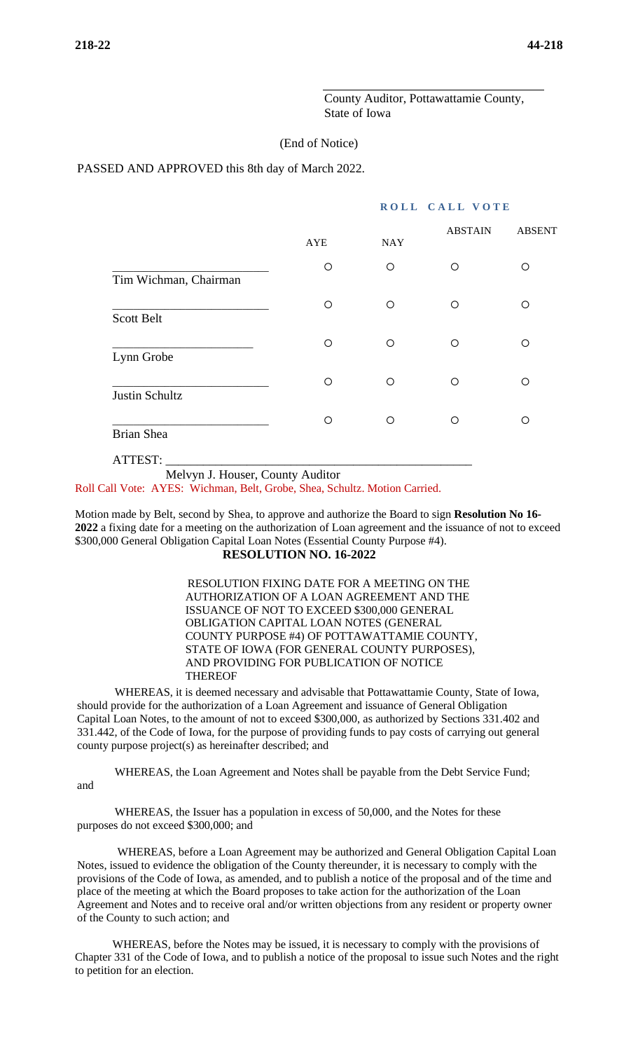County Auditor, Pottawattamie County, State of Iowa

## (End of Notice)

PASSED AND APPROVED this 8th day of March 2022.

## **ROLL CALL VOTE**

|                       | <b>AYE</b> | <b>NAY</b> | <b>ABSTAIN</b> | <b>ABSENT</b> |
|-----------------------|------------|------------|----------------|---------------|
| Tim Wichman, Chairman | O          | O          | O              | ∩             |
| <b>Scott Belt</b>     | O          | $\circ$    | $\circ$        | ∩             |
| Lynn Grobe            | O          | $\circ$    | $\circ$        | ∩             |
| Justin Schultz        | O          | $\circ$    | ◯              | ∩             |
| <b>Brian Shea</b>     | O          | $\circ$    | ◯              | ∩             |

ATTEST: \_\_\_\_\_\_\_\_\_\_\_\_\_\_\_\_\_\_\_\_\_\_\_\_\_\_\_\_\_\_\_\_\_\_\_\_\_\_\_\_\_\_\_\_\_\_\_\_\_

Melvyn J. Houser, County Auditor

Roll Call Vote: AYES: Wichman, Belt, Grobe, Shea, Schultz. Motion Carried.

Motion made by Belt, second by Shea, to approve and authorize the Board to sign **Resolution No 16- 2022** a fixing date for a meeting on the authorization of Loan agreement and the issuance of not to exceed \$300,000 General Obligation Capital Loan Notes (Essential County Purpose #4).

 **RESOLUTION NO. 16-2022**

RESOLUTION FIXING DATE FOR A MEETING ON THE AUTHORIZATION OF A LOAN AGREEMENT AND THE ISSUANCE OF NOT TO EXCEED \$300,000 GENERAL OBLIGATION CAPITAL LOAN NOTES (GENERAL COUNTY PURPOSE #4) OF POTTAWATTAMIE COUNTY, STATE OF IOWA (FOR GENERAL COUNTY PURPOSES), AND PROVIDING FOR PUBLICATION OF NOTICE **THEREOF** 

WHEREAS, it is deemed necessary and advisable that Pottawattamie County, State of Iowa, should provide for the authorization of a Loan Agreement and issuance of General Obligation Capital Loan Notes, to the amount of not to exceed \$300,000, as authorized by Sections 331.402 and 331.442, of the Code of Iowa, for the purpose of providing funds to pay costs of carrying out general county purpose project(s) as hereinafter described; and

WHEREAS, the Loan Agreement and Notes shall be payable from the Debt Service Fund;

and

WHEREAS, the Issuer has a population in excess of 50,000, and the Notes for these purposes do not exceed \$300,000; and

WHEREAS, before a Loan Agreement may be authorized and General Obligation Capital Loan Notes, issued to evidence the obligation of the County thereunder, it is necessary to comply with the provisions of the Code of Iowa, as amended, and to publish a notice of the proposal and of the time and place of the meeting at which the Board proposes to take action for the authorization of the Loan Agreement and Notes and to receive oral and/or written objections from any resident or property owner of the County to such action; and

WHEREAS, before the Notes may be issued, it is necessary to comply with the provisions of Chapter 331 of the Code of Iowa, and to publish a notice of the proposal to issue such Notes and the right to petition for an election.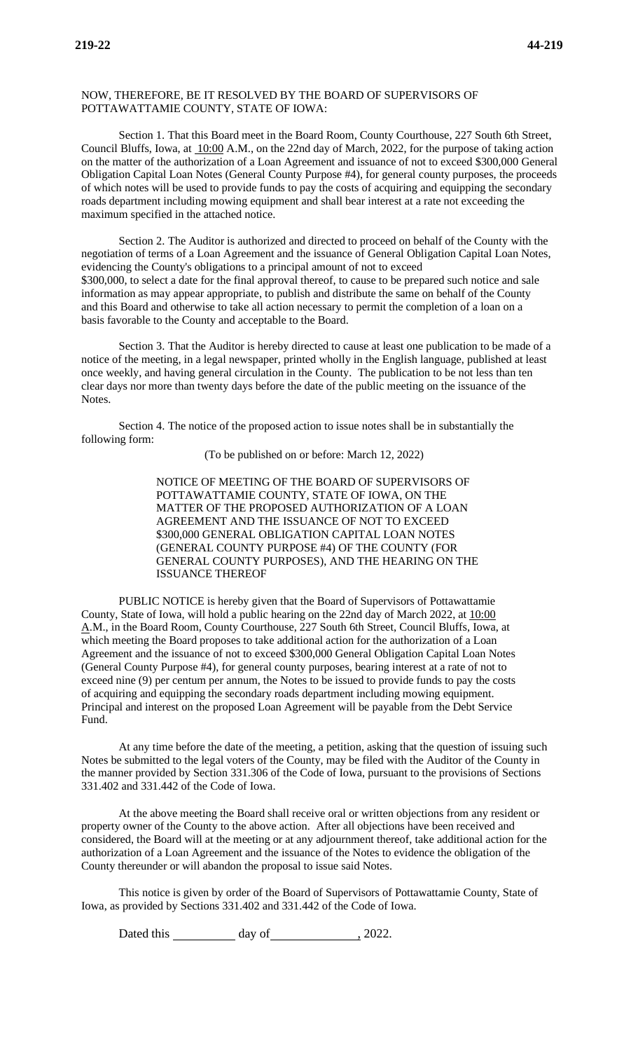## NOW, THEREFORE, BE IT RESOLVED BY THE BOARD OF SUPERVISORS OF POTTAWATTAMIE COUNTY, STATE OF IOWA:

Section 1. That this Board meet in the Board Room, County Courthouse, 227 South 6th Street, Council Bluffs, Iowa, at 10:00 A.M., on the 22nd day of March, 2022, for the purpose of taking action on the matter of the authorization of a Loan Agreement and issuance of not to exceed \$300,000 General Obligation Capital Loan Notes (General County Purpose #4), for general county purposes, the proceeds of which notes will be used to provide funds to pay the costs of acquiring and equipping the secondary roads department including mowing equipment and shall bear interest at a rate not exceeding the maximum specified in the attached notice.

Section 2. The Auditor is authorized and directed to proceed on behalf of the County with the negotiation of terms of a Loan Agreement and the issuance of General Obligation Capital Loan Notes, evidencing the County's obligations to a principal amount of not to exceed \$300,000, to select a date for the final approval thereof, to cause to be prepared such notice and sale information as may appear appropriate, to publish and distribute the same on behalf of the County and this Board and otherwise to take all action necessary to permit the completion of a loan on a basis favorable to the County and acceptable to the Board.

Section 3. That the Auditor is hereby directed to cause at least one publication to be made of a notice of the meeting, in a legal newspaper, printed wholly in the English language, published at least once weekly, and having general circulation in the County. The publication to be not less than ten clear days nor more than twenty days before the date of the public meeting on the issuance of the Notes.

Section 4. The notice of the proposed action to issue notes shall be in substantially the following form:

(To be published on or before: March 12, 2022)

NOTICE OF MEETING OF THE BOARD OF SUPERVISORS OF POTTAWATTAMIE COUNTY, STATE OF IOWA, ON THE MATTER OF THE PROPOSED AUTHORIZATION OF A LOAN AGREEMENT AND THE ISSUANCE OF NOT TO EXCEED \$300,000 GENERAL OBLIGATION CAPITAL LOAN NOTES (GENERAL COUNTY PURPOSE #4) OF THE COUNTY (FOR GENERAL COUNTY PURPOSES), AND THE HEARING ON THE ISSUANCE THEREOF

PUBLIC NOTICE is hereby given that the Board of Supervisors of Pottawattamie County, State of Iowa, will hold a public hearing on the 22nd day of March 2022, at 10:00 A.M., in the Board Room, County Courthouse, 227 South 6th Street, Council Bluffs, Iowa, at which meeting the Board proposes to take additional action for the authorization of a Loan Agreement and the issuance of not to exceed \$300,000 General Obligation Capital Loan Notes (General County Purpose #4), for general county purposes, bearing interest at a rate of not to exceed nine (9) per centum per annum, the Notes to be issued to provide funds to pay the costs of acquiring and equipping the secondary roads department including mowing equipment. Principal and interest on the proposed Loan Agreement will be payable from the Debt Service Fund.

At any time before the date of the meeting, a petition, asking that the question of issuing such Notes be submitted to the legal voters of the County, may be filed with the Auditor of the County in the manner provided by Section 331.306 of the Code of Iowa, pursuant to the provisions of Sections 331.402 and 331.442 of the Code of Iowa.

At the above meeting the Board shall receive oral or written objections from any resident or property owner of the County to the above action. After all objections have been received and considered, the Board will at the meeting or at any adjournment thereof, take additional action for the authorization of a Loan Agreement and the issuance of the Notes to evidence the obligation of the County thereunder or will abandon the proposal to issue said Notes.

This notice is given by order of the Board of Supervisors of Pottawattamie County, State of Iowa, as provided by Sections 331.402 and 331.442 of the Code of Iowa.

Dated this day of , 2022.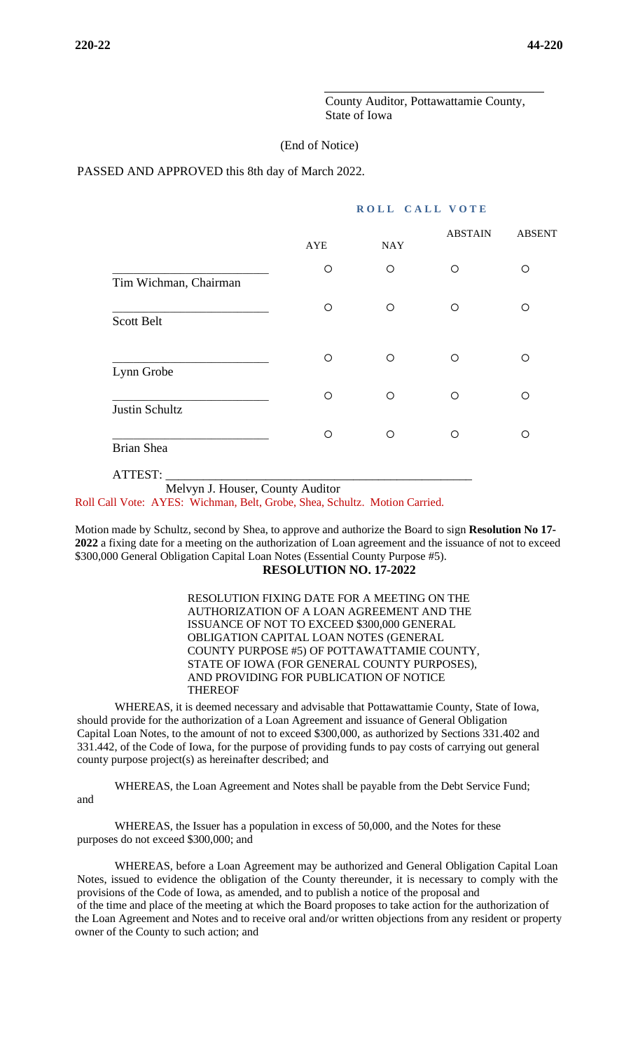County Auditor, Pottawattamie County, State of Iowa

#### (End of Notice)

PASSED AND APPROVED this 8th day of March 2022.

## **ROLL CALL VOTE**

|                       |            |            | <b>ABSTAIN</b> | <b>ABSENT</b> |
|-----------------------|------------|------------|----------------|---------------|
|                       | <b>AYE</b> | <b>NAY</b> |                |               |
| Tim Wichman, Chairman | O          | $\circ$    | Ω              | ∩             |
| <b>Scott Belt</b>     | $\circ$    | $\circ$    | O              | ∩             |
| Lynn Grobe            | $\bigcirc$ | $\circ$    | O              | ∩             |
| Justin Schultz        | O          | $\circ$    | O              | ∩             |
| <b>Brian Shea</b>     | Ω          | O          | O              | ∩             |

Melvyn J. Houser, County Auditor

ATTEST: \_\_\_\_\_\_\_\_\_\_\_\_\_\_\_\_\_\_\_\_\_\_\_\_\_\_\_\_\_\_\_\_\_\_\_\_\_\_\_\_\_\_\_\_\_\_\_\_\_

Roll Call Vote: AYES: Wichman, Belt, Grobe, Shea, Schultz. Motion Carried.

Motion made by Schultz, second by Shea, to approve and authorize the Board to sign **Resolution No 17- 2022** a fixing date for a meeting on the authorization of Loan agreement and the issuance of not to exceed \$300,000 General Obligation Capital Loan Notes (Essential County Purpose #5). **RESOLUTION NO. 17-2022**

> RESOLUTION FIXING DATE FOR A MEETING ON THE AUTHORIZATION OF A LOAN AGREEMENT AND THE ISSUANCE OF NOT TO EXCEED \$300,000 GENERAL OBLIGATION CAPITAL LOAN NOTES (GENERAL COUNTY PURPOSE #5) OF POTTAWATTAMIE COUNTY, STATE OF IOWA (FOR GENERAL COUNTY PURPOSES), AND PROVIDING FOR PUBLICATION OF NOTICE **THEREOF**

WHEREAS, it is deemed necessary and advisable that Pottawattamie County, State of Iowa, should provide for the authorization of a Loan Agreement and issuance of General Obligation Capital Loan Notes, to the amount of not to exceed \$300,000, as authorized by Sections 331.402 and 331.442, of the Code of Iowa, for the purpose of providing funds to pay costs of carrying out general county purpose project(s) as hereinafter described; and

WHEREAS, the Loan Agreement and Notes shall be payable from the Debt Service Fund;

and

WHEREAS, the Issuer has a population in excess of 50,000, and the Notes for these purposes do not exceed \$300,000; and

WHEREAS, before a Loan Agreement may be authorized and General Obligation Capital Loan Notes, issued to evidence the obligation of the County thereunder, it is necessary to comply with the provisions of the Code of Iowa, as amended, and to publish a notice of the proposal and of the time and place of the meeting at which the Board proposes to take action for the authorization of the Loan Agreement and Notes and to receive oral and/or written objections from any resident or property owner of the County to such action; and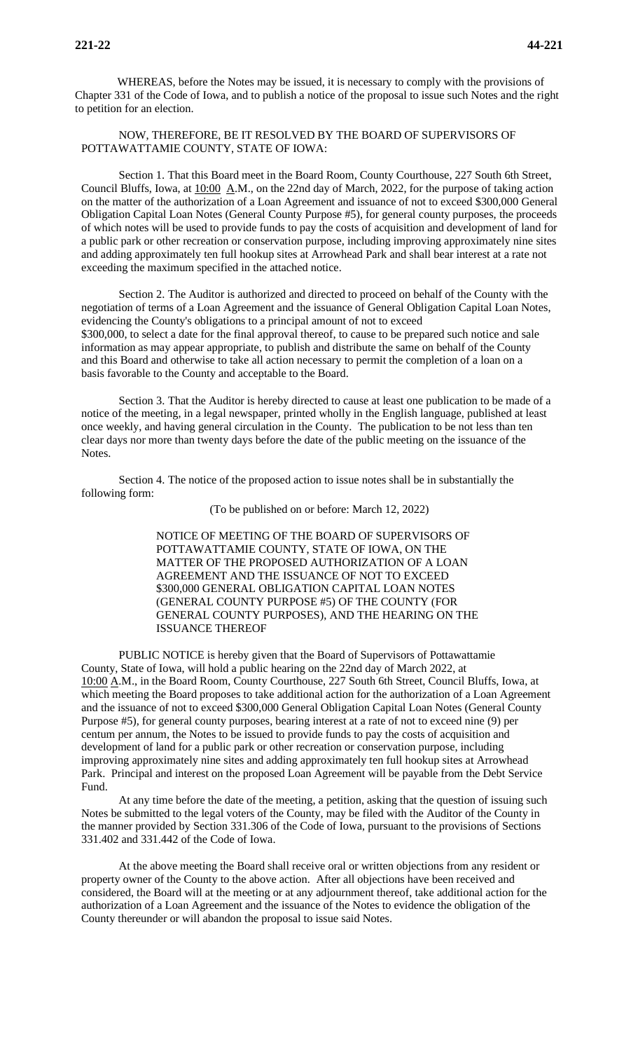WHEREAS, before the Notes may be issued, it is necessary to comply with the provisions of Chapter 331 of the Code of Iowa, and to publish a notice of the proposal to issue such Notes and the right to petition for an election.

NOW, THEREFORE, BE IT RESOLVED BY THE BOARD OF SUPERVISORS OF POTTAWATTAMIE COUNTY, STATE OF IOWA:

Section 1. That this Board meet in the Board Room, County Courthouse, 227 South 6th Street, Council Bluffs, Iowa, at  $10:00 \text{ A.M.}$ , on the 22nd day of March, 2022, for the purpose of taking action on the matter of the authorization of a Loan Agreement and issuance of not to exceed \$300,000 General Obligation Capital Loan Notes (General County Purpose #5), for general county purposes, the proceeds of which notes will be used to provide funds to pay the costs of acquisition and development of land for a public park or other recreation or conservation purpose, including improving approximately nine sites and adding approximately ten full hookup sites at Arrowhead Park and shall bear interest at a rate not exceeding the maximum specified in the attached notice.

Section 2. The Auditor is authorized and directed to proceed on behalf of the County with the negotiation of terms of a Loan Agreement and the issuance of General Obligation Capital Loan Notes, evidencing the County's obligations to a principal amount of not to exceed \$300,000, to select a date for the final approval thereof, to cause to be prepared such notice and sale information as may appear appropriate, to publish and distribute the same on behalf of the County and this Board and otherwise to take all action necessary to permit the completion of a loan on a basis favorable to the County and acceptable to the Board.

Section 3. That the Auditor is hereby directed to cause at least one publication to be made of a notice of the meeting, in a legal newspaper, printed wholly in the English language, published at least once weekly, and having general circulation in the County. The publication to be not less than ten clear days nor more than twenty days before the date of the public meeting on the issuance of the Notes.

Section 4. The notice of the proposed action to issue notes shall be in substantially the following form:

(To be published on or before: March 12, 2022)

NOTICE OF MEETING OF THE BOARD OF SUPERVISORS OF POTTAWATTAMIE COUNTY, STATE OF IOWA, ON THE MATTER OF THE PROPOSED AUTHORIZATION OF A LOAN AGREEMENT AND THE ISSUANCE OF NOT TO EXCEED \$300,000 GENERAL OBLIGATION CAPITAL LOAN NOTES (GENERAL COUNTY PURPOSE #5) OF THE COUNTY (FOR GENERAL COUNTY PURPOSES), AND THE HEARING ON THE ISSUANCE THEREOF

PUBLIC NOTICE is hereby given that the Board of Supervisors of Pottawattamie County, State of Iowa, will hold a public hearing on the 22nd day of March 2022, at 10:00 A.M., in the Board Room, County Courthouse, 227 South 6th Street, Council Bluffs, Iowa, at which meeting the Board proposes to take additional action for the authorization of a Loan Agreement and the issuance of not to exceed \$300,000 General Obligation Capital Loan Notes (General County Purpose #5), for general county purposes, bearing interest at a rate of not to exceed nine (9) per centum per annum, the Notes to be issued to provide funds to pay the costs of acquisition and development of land for a public park or other recreation or conservation purpose, including improving approximately nine sites and adding approximately ten full hookup sites at Arrowhead Park. Principal and interest on the proposed Loan Agreement will be payable from the Debt Service Fund.

At any time before the date of the meeting, a petition, asking that the question of issuing such Notes be submitted to the legal voters of the County, may be filed with the Auditor of the County in the manner provided by Section 331.306 of the Code of Iowa, pursuant to the provisions of Sections 331.402 and 331.442 of the Code of Iowa.

At the above meeting the Board shall receive oral or written objections from any resident or property owner of the County to the above action. After all objections have been received and considered, the Board will at the meeting or at any adjournment thereof, take additional action for the authorization of a Loan Agreement and the issuance of the Notes to evidence the obligation of the County thereunder or will abandon the proposal to issue said Notes.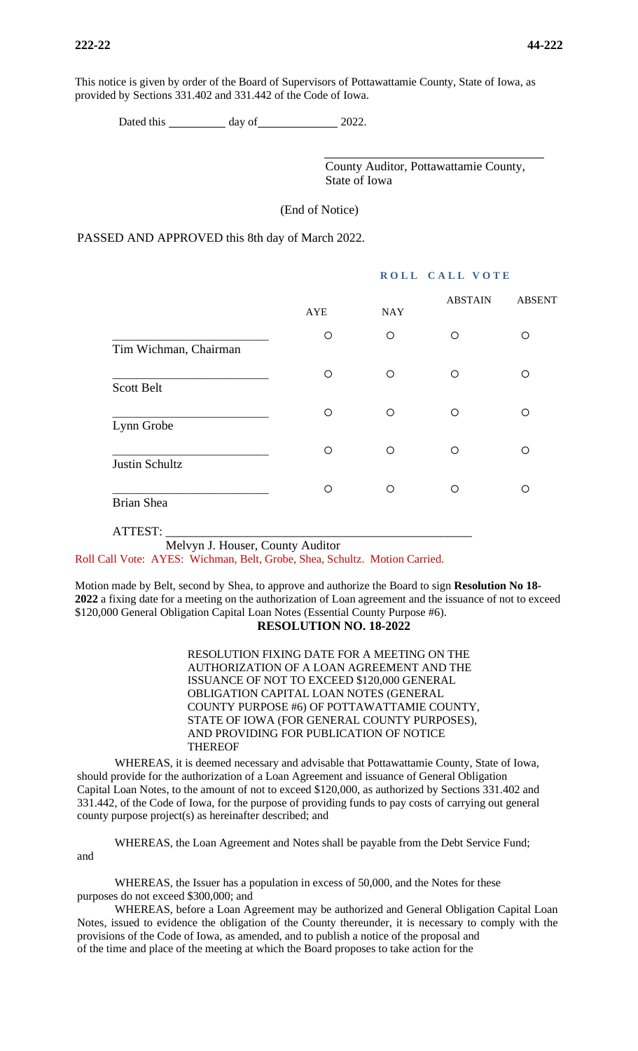This notice is given by order of the Board of Supervisors of Pottawattamie County, State of Iowa, as provided by Sections 331.402 and 331.442 of the Code of Iowa.

Dated this day of 2022.

County Auditor, Pottawattamie County, State of Iowa

(End of Notice)

PASSED AND APPROVED this 8th day of March 2022.

|                       |            |            | ROLL CALL VOTE |               |  |
|-----------------------|------------|------------|----------------|---------------|--|
|                       | <b>AYE</b> | <b>NAY</b> | <b>ABSTAIN</b> | <b>ABSENT</b> |  |
| Tim Wichman, Chairman | O          | $\circ$    | ◯              | O             |  |
| <b>Scott Belt</b>     | Ο          | O          | ∩              | Ω             |  |
| Lynn Grobe            | O          | $\circ$    | $\circ$        | Ο             |  |
| Justin Schultz        | O          | O          | O              | ∩             |  |
| <b>Brian Shea</b>     | O          | O          | ∩              | ∩             |  |
|                       |            |            |                |               |  |

## ATTEST: \_\_\_\_\_\_\_\_\_\_\_\_\_\_\_\_\_\_\_\_\_\_\_\_\_\_\_\_\_\_\_\_\_\_\_\_\_\_\_\_\_\_\_\_\_\_\_\_\_

Melvyn J. Houser, County Auditor

Roll Call Vote: AYES: Wichman, Belt, Grobe, Shea, Schultz. Motion Carried.

Motion made by Belt, second by Shea, to approve and authorize the Board to sign **Resolution No 18- 2022** a fixing date for a meeting on the authorization of Loan agreement and the issuance of not to exceed \$120,000 General Obligation Capital Loan Notes (Essential County Purpose #6).

## **RESOLUTION NO. 18-2022**

RESOLUTION FIXING DATE FOR A MEETING ON THE AUTHORIZATION OF A LOAN AGREEMENT AND THE ISSUANCE OF NOT TO EXCEED \$120,000 GENERAL OBLIGATION CAPITAL LOAN NOTES (GENERAL COUNTY PURPOSE #6) OF POTTAWATTAMIE COUNTY, STATE OF IOWA (FOR GENERAL COUNTY PURPOSES), AND PROVIDING FOR PUBLICATION OF NOTICE THEREOF

WHEREAS, it is deemed necessary and advisable that Pottawattamie County, State of Iowa, should provide for the authorization of a Loan Agreement and issuance of General Obligation Capital Loan Notes, to the amount of not to exceed \$120,000, as authorized by Sections 331.402 and 331.442, of the Code of Iowa, for the purpose of providing funds to pay costs of carrying out general county purpose project(s) as hereinafter described; and

WHEREAS, the Loan Agreement and Notes shall be payable from the Debt Service Fund; and

WHEREAS, the Issuer has a population in excess of 50,000, and the Notes for these purposes do not exceed \$300,000; and

WHEREAS, before a Loan Agreement may be authorized and General Obligation Capital Loan Notes, issued to evidence the obligation of the County thereunder, it is necessary to comply with the provisions of the Code of Iowa, as amended, and to publish a notice of the proposal and of the time and place of the meeting at which the Board proposes to take action for the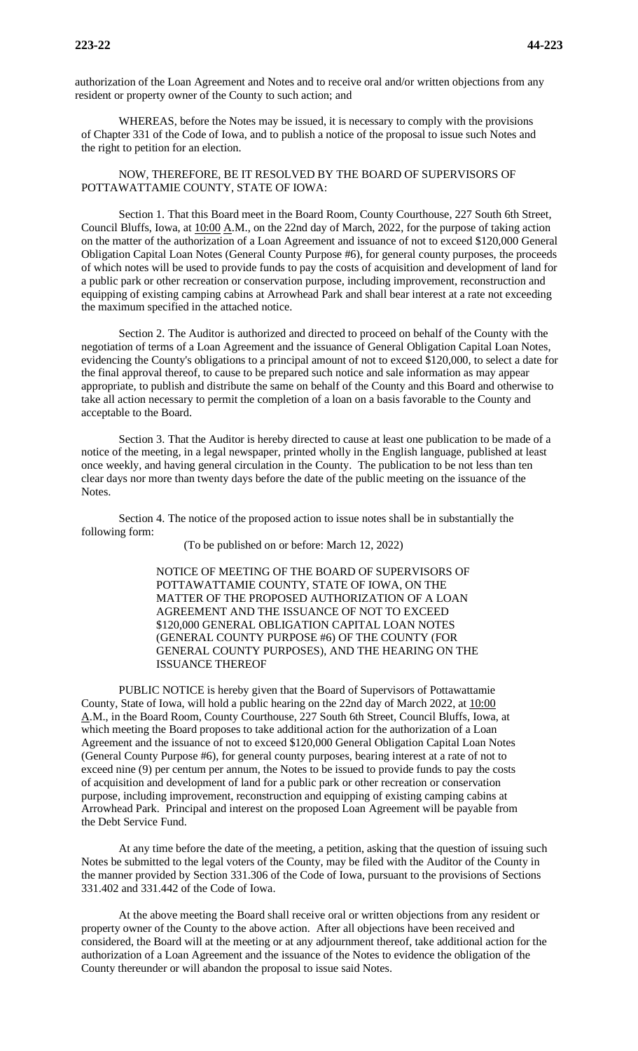authorization of the Loan Agreement and Notes and to receive oral and/or written objections from any resident or property owner of the County to such action; and

WHEREAS, before the Notes may be issued, it is necessary to comply with the provisions of Chapter 331 of the Code of Iowa, and to publish a notice of the proposal to issue such Notes and the right to petition for an election.

## NOW, THEREFORE, BE IT RESOLVED BY THE BOARD OF SUPERVISORS OF POTTAWATTAMIE COUNTY, STATE OF IOWA:

Section 1. That this Board meet in the Board Room, County Courthouse, 227 South 6th Street, Council Bluffs, Iowa, at 10:00 A.M., on the 22nd day of March, 2022, for the purpose of taking action on the matter of the authorization of a Loan Agreement and issuance of not to exceed \$120,000 General Obligation Capital Loan Notes (General County Purpose #6), for general county purposes, the proceeds of which notes will be used to provide funds to pay the costs of acquisition and development of land for a public park or other recreation or conservation purpose, including improvement, reconstruction and equipping of existing camping cabins at Arrowhead Park and shall bear interest at a rate not exceeding the maximum specified in the attached notice.

Section 2. The Auditor is authorized and directed to proceed on behalf of the County with the negotiation of terms of a Loan Agreement and the issuance of General Obligation Capital Loan Notes, evidencing the County's obligations to a principal amount of not to exceed \$120,000, to select a date for the final approval thereof, to cause to be prepared such notice and sale information as may appear appropriate, to publish and distribute the same on behalf of the County and this Board and otherwise to take all action necessary to permit the completion of a loan on a basis favorable to the County and acceptable to the Board.

Section 3. That the Auditor is hereby directed to cause at least one publication to be made of a notice of the meeting, in a legal newspaper, printed wholly in the English language, published at least once weekly, and having general circulation in the County. The publication to be not less than ten clear days nor more than twenty days before the date of the public meeting on the issuance of the Notes.

Section 4. The notice of the proposed action to issue notes shall be in substantially the following form:

(To be published on or before: March 12, 2022)

NOTICE OF MEETING OF THE BOARD OF SUPERVISORS OF POTTAWATTAMIE COUNTY, STATE OF IOWA, ON THE MATTER OF THE PROPOSED AUTHORIZATION OF A LOAN AGREEMENT AND THE ISSUANCE OF NOT TO EXCEED \$120,000 GENERAL OBLIGATION CAPITAL LOAN NOTES (GENERAL COUNTY PURPOSE #6) OF THE COUNTY (FOR GENERAL COUNTY PURPOSES), AND THE HEARING ON THE ISSUANCE THEREOF

PUBLIC NOTICE is hereby given that the Board of Supervisors of Pottawattamie County, State of Iowa, will hold a public hearing on the 22nd day of March 2022, at 10:00 A.M., in the Board Room, County Courthouse, 227 South 6th Street, Council Bluffs, Iowa, at which meeting the Board proposes to take additional action for the authorization of a Loan Agreement and the issuance of not to exceed \$120,000 General Obligation Capital Loan Notes (General County Purpose #6), for general county purposes, bearing interest at a rate of not to exceed nine (9) per centum per annum, the Notes to be issued to provide funds to pay the costs of acquisition and development of land for a public park or other recreation or conservation purpose, including improvement, reconstruction and equipping of existing camping cabins at Arrowhead Park. Principal and interest on the proposed Loan Agreement will be payable from the Debt Service Fund.

At any time before the date of the meeting, a petition, asking that the question of issuing such Notes be submitted to the legal voters of the County, may be filed with the Auditor of the County in the manner provided by Section 331.306 of the Code of Iowa, pursuant to the provisions of Sections 331.402 and 331.442 of the Code of Iowa.

At the above meeting the Board shall receive oral or written objections from any resident or property owner of the County to the above action. After all objections have been received and considered, the Board will at the meeting or at any adjournment thereof, take additional action for the authorization of a Loan Agreement and the issuance of the Notes to evidence the obligation of the County thereunder or will abandon the proposal to issue said Notes.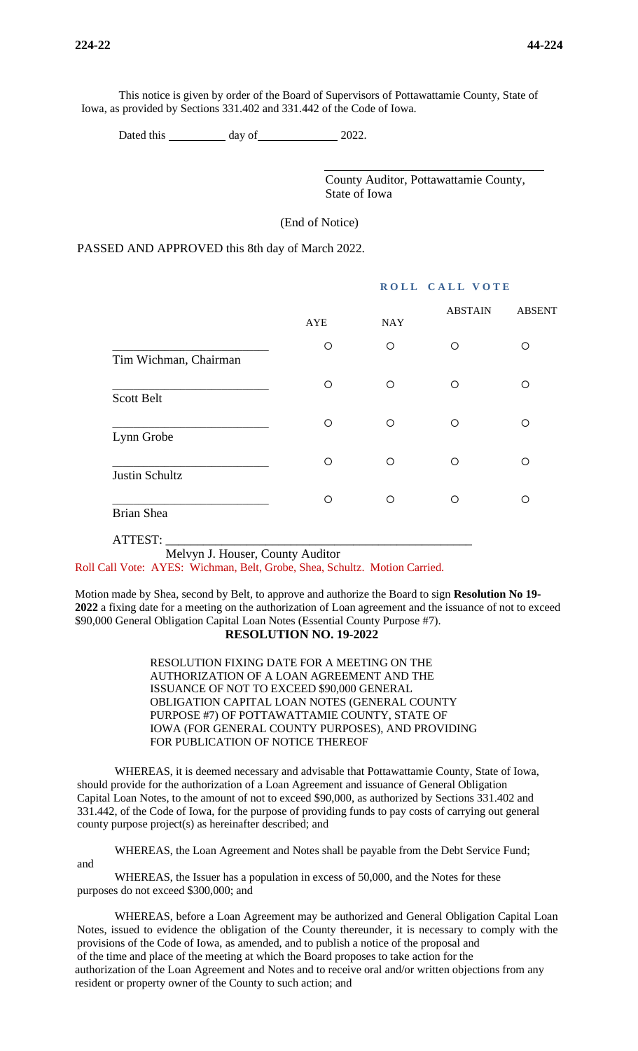This notice is given by order of the Board of Supervisors of Pottawattamie County, State of Iowa, as provided by Sections 331.402 and 331.442 of the Code of Iowa.

Dated this day of 2022.

County Auditor, Pottawattamie County, State of Iowa

(End of Notice)

PASSED AND APPROVED this 8th day of March 2022.

|                       |            |            | <b>ABSTAIN</b> | <b>ABSENT</b> |
|-----------------------|------------|------------|----------------|---------------|
|                       | <b>AYE</b> | <b>NAY</b> |                |               |
| Tim Wichman, Chairman | $\circ$    | $\circ$    | O              | O             |
| <b>Scott Belt</b>     | $\circ$    | $\circ$    | $\bigcirc$     | ◯             |
| Lynn Grobe            | O          | $\circ$    | ∩              | ∩             |
| Justin Schultz        | $\circ$    | $\circ$    | $\circ$        | ◯             |
| <b>Brian Shea</b>     | $\circ$    | O          | ◯              | ∩             |
| ATTEST:               |            |            |                |               |

Melvyn J. Houser, County Auditor

Roll Call Vote: AYES: Wichman, Belt, Grobe, Shea, Schultz. Motion Carried.

Motion made by Shea, second by Belt, to approve and authorize the Board to sign **Resolution No 19- 2022** a fixing date for a meeting on the authorization of Loan agreement and the issuance of not to exceed \$90,000 General Obligation Capital Loan Notes (Essential County Purpose #7). **RESOLUTION NO. 19-2022**

> RESOLUTION FIXING DATE FOR A MEETING ON THE AUTHORIZATION OF A LOAN AGREEMENT AND THE ISSUANCE OF NOT TO EXCEED \$90,000 GENERAL OBLIGATION CAPITAL LOAN NOTES (GENERAL COUNTY PURPOSE #7) OF POTTAWATTAMIE COUNTY, STATE OF IOWA (FOR GENERAL COUNTY PURPOSES), AND PROVIDING FOR PUBLICATION OF NOTICE THEREOF

WHEREAS, it is deemed necessary and advisable that Pottawattamie County, State of Iowa, should provide for the authorization of a Loan Agreement and issuance of General Obligation Capital Loan Notes, to the amount of not to exceed \$90,000, as authorized by Sections 331.402 and 331.442, of the Code of Iowa, for the purpose of providing funds to pay costs of carrying out general county purpose project(s) as hereinafter described; and

WHEREAS, the Loan Agreement and Notes shall be payable from the Debt Service Fund;

and

WHEREAS, the Issuer has a population in excess of 50,000, and the Notes for these purposes do not exceed \$300,000; and

WHEREAS, before a Loan Agreement may be authorized and General Obligation Capital Loan Notes, issued to evidence the obligation of the County thereunder, it is necessary to comply with the provisions of the Code of Iowa, as amended, and to publish a notice of the proposal and of the time and place of the meeting at which the Board proposes to take action for the authorization of the Loan Agreement and Notes and to receive oral and/or written objections from any resident or property owner of the County to such action; and

## **ROLL CALL VOTE**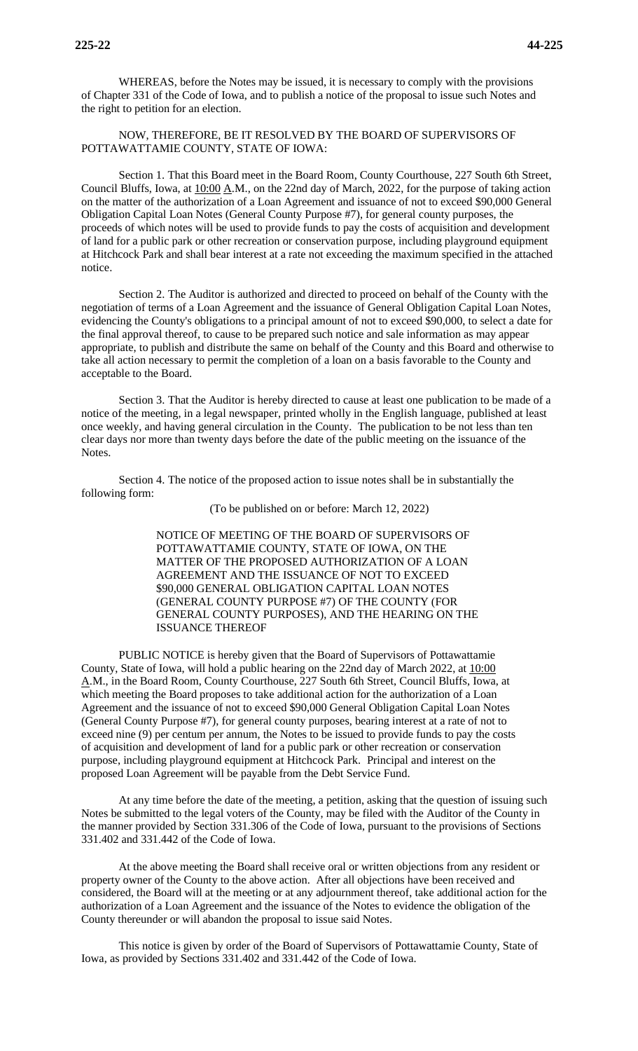WHEREAS, before the Notes may be issued, it is necessary to comply with the provisions of Chapter 331 of the Code of Iowa, and to publish a notice of the proposal to issue such Notes and the right to petition for an election.

## NOW, THEREFORE, BE IT RESOLVED BY THE BOARD OF SUPERVISORS OF POTTAWATTAMIE COUNTY, STATE OF IOWA:

Section 1. That this Board meet in the Board Room, County Courthouse, 227 South 6th Street, Council Bluffs, Iowa, at 10:00 A.M., on the 22nd day of March, 2022, for the purpose of taking action on the matter of the authorization of a Loan Agreement and issuance of not to exceed \$90,000 General Obligation Capital Loan Notes (General County Purpose #7), for general county purposes, the proceeds of which notes will be used to provide funds to pay the costs of acquisition and development of land for a public park or other recreation or conservation purpose, including playground equipment at Hitchcock Park and shall bear interest at a rate not exceeding the maximum specified in the attached notice.

Section 2. The Auditor is authorized and directed to proceed on behalf of the County with the negotiation of terms of a Loan Agreement and the issuance of General Obligation Capital Loan Notes, evidencing the County's obligations to a principal amount of not to exceed \$90,000, to select a date for the final approval thereof, to cause to be prepared such notice and sale information as may appear appropriate, to publish and distribute the same on behalf of the County and this Board and otherwise to take all action necessary to permit the completion of a loan on a basis favorable to the County and acceptable to the Board.

Section 3. That the Auditor is hereby directed to cause at least one publication to be made of a notice of the meeting, in a legal newspaper, printed wholly in the English language, published at least once weekly, and having general circulation in the County. The publication to be not less than ten clear days nor more than twenty days before the date of the public meeting on the issuance of the Notes.

Section 4. The notice of the proposed action to issue notes shall be in substantially the following form:

(To be published on or before: March 12, 2022)

NOTICE OF MEETING OF THE BOARD OF SUPERVISORS OF POTTAWATTAMIE COUNTY, STATE OF IOWA, ON THE MATTER OF THE PROPOSED AUTHORIZATION OF A LOAN AGREEMENT AND THE ISSUANCE OF NOT TO EXCEED \$90,000 GENERAL OBLIGATION CAPITAL LOAN NOTES (GENERAL COUNTY PURPOSE #7) OF THE COUNTY (FOR GENERAL COUNTY PURPOSES), AND THE HEARING ON THE ISSUANCE THEREOF

PUBLIC NOTICE is hereby given that the Board of Supervisors of Pottawattamie County, State of Iowa, will hold a public hearing on the 22nd day of March 2022, at 10:00 A.M., in the Board Room, County Courthouse, 227 South 6th Street, Council Bluffs, Iowa, at which meeting the Board proposes to take additional action for the authorization of a Loan Agreement and the issuance of not to exceed \$90,000 General Obligation Capital Loan Notes (General County Purpose #7), for general county purposes, bearing interest at a rate of not to exceed nine (9) per centum per annum, the Notes to be issued to provide funds to pay the costs of acquisition and development of land for a public park or other recreation or conservation purpose, including playground equipment at Hitchcock Park. Principal and interest on the proposed Loan Agreement will be payable from the Debt Service Fund.

At any time before the date of the meeting, a petition, asking that the question of issuing such Notes be submitted to the legal voters of the County, may be filed with the Auditor of the County in the manner provided by Section 331.306 of the Code of Iowa, pursuant to the provisions of Sections 331.402 and 331.442 of the Code of Iowa.

At the above meeting the Board shall receive oral or written objections from any resident or property owner of the County to the above action. After all objections have been received and considered, the Board will at the meeting or at any adjournment thereof, take additional action for the authorization of a Loan Agreement and the issuance of the Notes to evidence the obligation of the County thereunder or will abandon the proposal to issue said Notes.

This notice is given by order of the Board of Supervisors of Pottawattamie County, State of Iowa, as provided by Sections 331.402 and 331.442 of the Code of Iowa.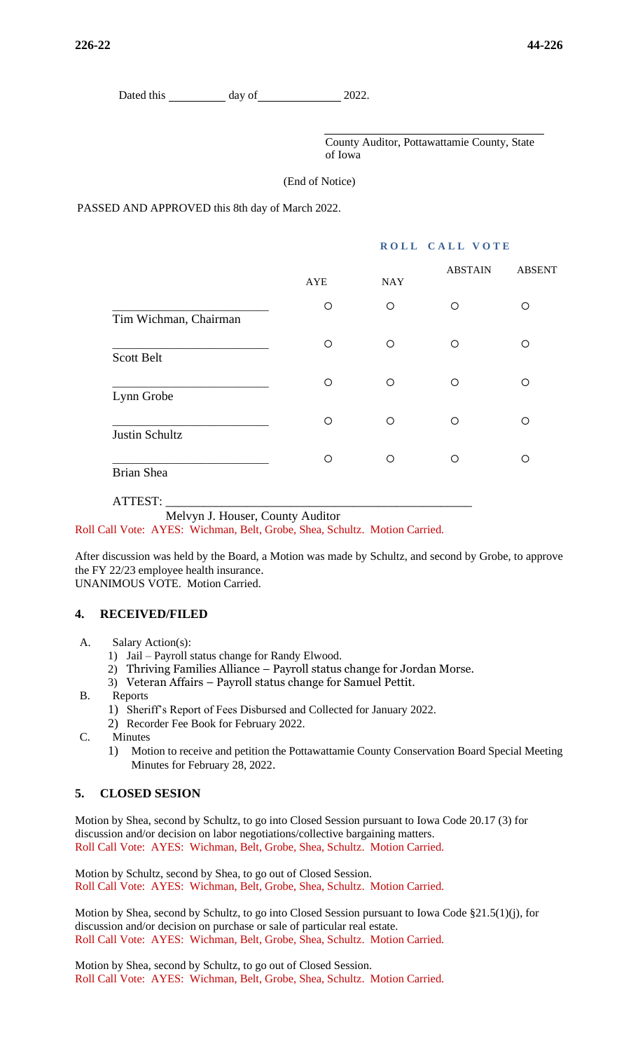Dated this day of 2022.

County Auditor, Pottawattamie County, State of Iowa

(End of Notice)

PASSED AND APPROVED this 8th day of March 2022.

## **ROLL CALL VOTE**

|                       | <b>AYE</b> | <b>NAY</b> | <b>ABSTAIN</b> | <b>ABSENT</b> |
|-----------------------|------------|------------|----------------|---------------|
| Tim Wichman, Chairman | O          | O          | O              | ∩             |
| <b>Scott Belt</b>     | O          | O          | $\bigcirc$     | ∩             |
| Lynn Grobe            | O          | O          | ◯              | ∩             |
| Justin Schultz        | O          | O          | ◯              | ∩             |
| <b>Brian Shea</b>     | O          | O          | ∩              | ∩             |

ATTEST: \_\_\_\_\_\_\_\_\_\_\_\_\_\_\_\_\_\_\_\_\_\_\_\_\_\_\_\_\_\_\_\_\_\_\_\_\_\_\_\_\_\_\_\_\_\_\_\_\_

Melvyn J. Houser, County Auditor

Roll Call Vote: AYES: Wichman, Belt, Grobe, Shea, Schultz. Motion Carried.

After discussion was held by the Board, a Motion was made by Schultz, and second by Grobe, to approve the FY 22/23 employee health insurance. UNANIMOUS VOTE. Motion Carried.

## **4. RECEIVED/FILED**

- A. Salary Action(s):
	- 1) Jail Payroll status change for Randy Elwood.
	- 2) Thriving Families Alliance Payroll status change for Jordan Morse.
	- 3) Veteran Affairs Payroll status change for Samuel Pettit.
- B. Reports
	- 1) Sheriff's Report of Fees Disbursed and Collected for January 2022.
	- 2) Recorder Fee Book for February 2022.
- C. Minutes
	- 1) Motion to receive and petition the Pottawattamie County Conservation Board Special Meeting Minutes for February 28, 2022.

## **5. CLOSED SESION**

Motion by Shea, second by Schultz, to go into Closed Session pursuant to Iowa Code 20.17 (3) for discussion and/or decision on labor negotiations/collective bargaining matters. Roll Call Vote: AYES: Wichman, Belt, Grobe, Shea, Schultz. Motion Carried.

Motion by Schultz, second by Shea, to go out of Closed Session. Roll Call Vote: AYES: Wichman, Belt, Grobe, Shea, Schultz. Motion Carried.

Motion by Shea, second by Schultz, to go into Closed Session pursuant to Iowa Code §21.5(1)(j), for discussion and/or decision on purchase or sale of particular real estate. Roll Call Vote: AYES: Wichman, Belt, Grobe, Shea, Schultz. Motion Carried.

Motion by Shea, second by Schultz, to go out of Closed Session. Roll Call Vote: AYES: Wichman, Belt, Grobe, Shea, Schultz. Motion Carried.